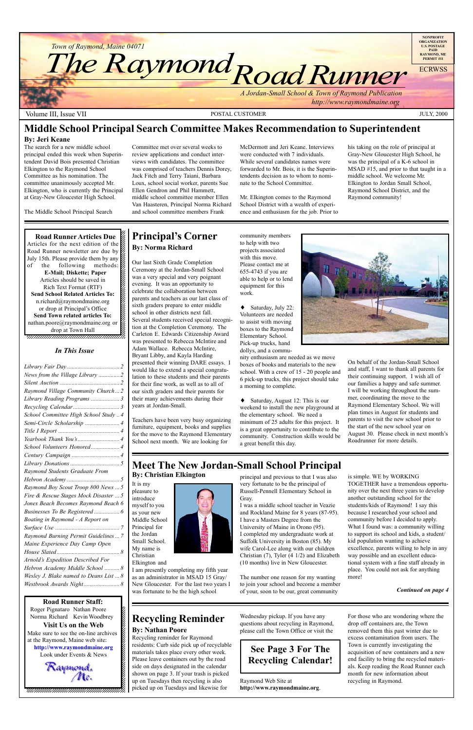12345678901234567890123456789012123456789012345678 12345678901234567890123456789012123456789012345678  $1235678901234587890123456789012345678901234567890123456789012345678901234567890123456789012345678901234567890123456789012345678901234567890123456789012345678901234567890123456789012345678901234567890123456789012345678901$ 

**Road Runner Articles Due** Articles for the next edition of the  $\mathscr{C}$ 12345678901234567890123456789012123456789012345678 Road Runner newsletter are due by  $\%$  $123567890$ July 15th. Please provide them by any  $\mathcal{Z}$ of the following methods: E-Mail; Diskette; Paper Articles should be saved in  $1235678901234587890123456789012345678901234567890123456789012345678901234567890123456789012345678901234567890123456789012345678901234567890123456789012345678901234567890123456789012345678901234567890123456789012345678901$ Rich Text Format (RTF) 12345678901234567890123456789012123456789012345678 **Send School Related Articles To:** n.richard@raymondmaine.org  $\otimes$ 12345678901234567890123456789012123456789012345678 or drop at Principal's Office  $\mathscr{L}$ **Send Town related articles To:**  $\blacksquare$ nathan.poore@raymondmaine.org or  $\mathscr{D}$  $\frac{d}{dt}$  drop at Town Hall 12345678901234567890123456789012123456789012345678 12345678901234567890123456789012123456789012345678

Look under Events  $&$  News 12345678901234567890123456789012123456789012345678

12345678901234567890123456789012123456789012345678 , 123456789123456789123456789123456789123456789123



Volume III, Issue VII POSTAL CUSTOMER JULY, 2000

### 12345678901234567890123456789012345678901234567890123456789012345678901234567890123456789012345678901234567890 **Road Runner Staff:**

Roger Pignataro Nathan Poore & 12345678901234567890123456789012123456789012345678 **Norma Richard Kevin Woodbrey**  $18.8$  8  $\pm$  8  $\pm$  8  $\pm$  8  $\pm$  8  $\pm$  8  $\pm$  8  $\pm$  8  $\pm$  8  $\pm$  8  $\pm$  8  $\pm$  8  $\pm$  8  $\pm$  8  $\pm$  8  $\pm$  8  $\pm$  8  $\pm$  8  $\pm$  8  $\pm$  8  $\pm$  8  $\pm$  8  $\pm$  8  $\pm$  8  $\pm$  8  $\pm$  8  $\pm$  8  $\pm$  8  $\pm$  8  $\pm$  8  $\pm$  8  $\$ **Visit Us on the Web**  $1235678901234567890123456789012345678901234567890123456789012345678901234567890123456789012345678901234567890123456789012345678901234567890123456789012345678901234567890123456789012345678901234567890123456789012345678901$ Make sure to see the on-line archives  $\%$ at the Raymond, Maine web site:  $\&$ 12345678901234567890123456789012123456789012345678 http://www.raymondmaine.org

### **Recycling Reminder By: Nathan Poore**

### **Principal's Corner By: Norma Richard**



Recycling reminder for Raymond residents: Curb side pick up of recyclable materials takes place every other week. Please leave containers out by the road side on days designated in the calendar shown on page 3. If your trash is picked up on Tuesdays then recycling is also picked up on Tuesdays and likewise for

### Wednesday pickup. If you have any questions about recycling in Raymond, please call the Town Office or visit the

Raymond Web Site at **http://www.raymondmaine.org**. For those who are wondering where the drop off containers are, the Town removed them this past winter due to excess contamination from users. The Town is currently investigating the acquisition of new containers and a new end facility to bring the recycled materials. Keep reading the Road Runner each month for new information about recycling in Raymond.

# **See Page 3 For The Recycling Calendar!**

Our last Sixth Grade Completion Ceremony at the Jordan-Small School was a very special and very poignant evening. It was an opportunity to celebrate the collaboration between parents and teachers as our last class of sixth graders prepare to enter middle school in other districts next fall. Several students received special recognition at the Completion Ceremony. The Carleton E. Edwards Citizenship Award was presented to Rebecca McIntire and Adam Wallace. Rebecca McIntire, Bryant Libby, and Kayla Harding presented their winning DARE essays. I would like to extend a special congratulation to these students and their parents for their fine work, as well as to all of our sixth graders and their parents for their many achievements during their years at Jordan-Small.

Teachers have been very busy organizing furniture, equipment, books and supplies for the move to the Raymond Elementary School next month. We are looking for

community members to help with two projects associated with this move. Please contact me at 655-4743 if you are able to help or to lend equipment for this work.

♦ Saturday, July 22: Volunteers are needed to assist with moving boxes to the Raymond Elementary School. Pick-up trucks, hand dollys, and a commu-

nity enthusiasm are needed as we move boxes of books and materials to the new school. With a crew of 15 - 20 people and 6 pick-up trucks, this project should take a morning to complete.

♦ Saturday, August 12: This is our weekend to install the new playground at the elementary school. We need a minimum of 25 adults for this project. It is a great opportunity to contribute to the community. Construction skills would be a great benefit this day.



On behalf of the Jordan-Small School and staff, I want to thank all parents for their continuing support. I wish all of our families a happy and safe summer. I will be working throughout the summer, coordinating the move to the Raymond Elementary School. We will plan times in August for students and parents to visit the new school prior to the start of the new school year on August 30. Please check in next month's Roadrunner for more details.

# **Meet The New Jordan-Small School Principal**

It is my

introduce





### Elkington and

I am presently completing my fifth year as an administrator in MSAD 15 Gray/ New Gloucester. For the last two years I was fortunate to be the high school

principal and previous to that I was also very fortunate to be the principal of Russell-Pennell Elementary School in Gray.

I was a middle school teacher in Veazie and Rockland Maine for 8 years (87-95). I have a Masters Degree from the University of Maine in Orono (95). I completed my undergraduate work at

### Suffolk University in Boston (85). My wife Carol-Lee along with our children Christian (7), Tyler (4 1/2) and Elizabeth (10 months) live in New Gloucester.

The number one reason for my wanting to join your school and become a member of your, soon to be our, great community

### is simple. WE by WORKING

TOGETHER have a tremendous opportunity over the next three years to develop another outstanding school for the students/kids of Raymond! I say this because I researched your school and community before I decided to apply. What I found was: a community willing to support its school and kids, a student/

### kid population wanting to achieve excellence, parents willing to help in any tional system with a fine staff already in

way possible and an excellent educaplace. You could not ask for anything more!

### *Continued on page 4*

### **Middle School Principal Search Committee Makes Recommendation to Superintendent**

### **By: Jeri Keane**

The search for a new middle school principal ended this week when Superintendent David Bois presented Christian Elkington to the Raymond School Committee as his nomination. The committee unanimously accepted Mr. Elkington, who is currently the Principal at Gray-New Gloucester High School.

The Middle School Principal Search

Committee met over several weeks to review applications and conduct interviews with candidates. The committee was comprised of teachers Dennis Dorey, Jack Fitch and Terry Taiani, Barbara Loux, school social worker, parents Sue Ellen Gendron and Phil Hammett, middle school committee member Ellen Van Haasteren, Principal Norma Richard and school committee members Frank

his taking on the role of principal at Gray-New Gloucester High School, he was the principal of a K-6 school in MSAD #15, and prior to that taught in a middle school. We welcome Mr. Elkington to Jordan Small School, Raymond School District, and the Raymond community!

McDermott and Jeri Keane. Interviews were conducted with 7 individuals. While several candidates names were forwarded to Mr. Bois, it is the Superintendents decision as to whom to nominate to the School Committee.

Mr. Elkington comes to the Raymond School District with a wealth of experience and enthusiasm for the job. Prior to

### **By: Christian Elkington**

### *In This Issue*

| News from the Village Library  2                                                                                                                                                                                                                                                                                                                                                     |  |
|--------------------------------------------------------------------------------------------------------------------------------------------------------------------------------------------------------------------------------------------------------------------------------------------------------------------------------------------------------------------------------------|--|
|                                                                                                                                                                                                                                                                                                                                                                                      |  |
| Raymond Village Community Church 2                                                                                                                                                                                                                                                                                                                                                   |  |
| Library Reading Programs  3                                                                                                                                                                                                                                                                                                                                                          |  |
|                                                                                                                                                                                                                                                                                                                                                                                      |  |
| School Committee High School Study  4                                                                                                                                                                                                                                                                                                                                                |  |
| Semi-Circle Scholarship  4                                                                                                                                                                                                                                                                                                                                                           |  |
|                                                                                                                                                                                                                                                                                                                                                                                      |  |
|                                                                                                                                                                                                                                                                                                                                                                                      |  |
|                                                                                                                                                                                                                                                                                                                                                                                      |  |
| School Volunteers Honored 4                                                                                                                                                                                                                                                                                                                                                          |  |
|                                                                                                                                                                                                                                                                                                                                                                                      |  |
|                                                                                                                                                                                                                                                                                                                                                                                      |  |
| Raymond Students Graduate From                                                                                                                                                                                                                                                                                                                                                       |  |
|                                                                                                                                                                                                                                                                                                                                                                                      |  |
| Raymond Boy Scout Troop 800 News  5                                                                                                                                                                                                                                                                                                                                                  |  |
| Fire & Rescue Stages Mock Disaster  5                                                                                                                                                                                                                                                                                                                                                |  |
| Jones Beach Becomes Raymond Beach 6                                                                                                                                                                                                                                                                                                                                                  |  |
|                                                                                                                                                                                                                                                                                                                                                                                      |  |
| Boating in Raymond - A Report on                                                                                                                                                                                                                                                                                                                                                     |  |
|                                                                                                                                                                                                                                                                                                                                                                                      |  |
| $\overline{a}$ $\overline{b}$ $\overline{c}$ $\overline{d}$ $\overline{c}$ $\overline{d}$ $\overline{d}$ $\overline{d}$ $\overline{d}$ $\overline{d}$ $\overline{d}$ $\overline{d}$ $\overline{d}$ $\overline{d}$ $\overline{d}$ $\overline{d}$ $\overline{d}$ $\overline{d}$ $\overline{d}$ $\overline{d}$ $\overline{d}$ $\overline{d}$ $\overline{d}$ $\overline{d}$ $\overline{$ |  |

| Raymond Burning Permit Guidelines 7    |
|----------------------------------------|
| Maine Experience Day Camp Open         |
|                                        |
| Arnold's Expedition Described For      |
| Hebron Academy Middle School  8        |
| Wesley J. Blake named to Deans List  8 |
| Westbrook Awards Night 8               |
|                                        |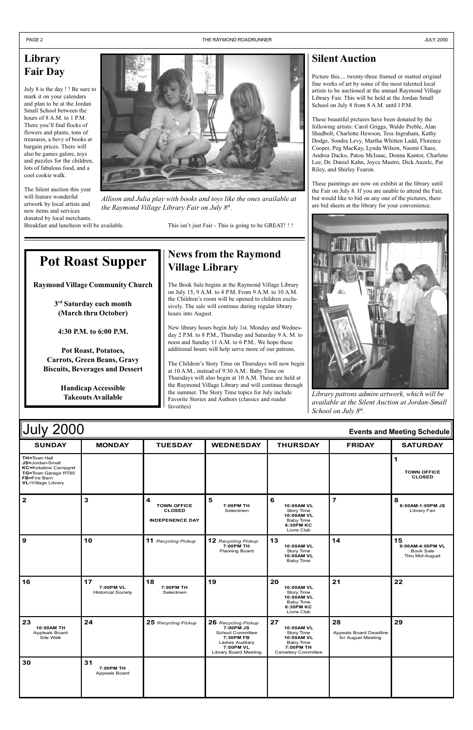| <b>July 2000</b>                                                                                                                                |               |                                                                    |                             |                                                                                            |               | <b>Events and Meeting Schedule</b>  |
|-------------------------------------------------------------------------------------------------------------------------------------------------|---------------|--------------------------------------------------------------------|-----------------------------|--------------------------------------------------------------------------------------------|---------------|-------------------------------------|
| <b>SUNDAY</b>                                                                                                                                   | <b>MONDAY</b> | <b>TUESDAY</b>                                                     | <b>WEDNESDAY</b>            | <b>THURSDAY</b>                                                                            | <b>FRIDAY</b> | <b>SATURDAY</b>                     |
| <b>TH=Town Hall</b><br><b>JS=Jordan-Small</b><br><b>KC=Kokatosi Campgnd</b><br>TG=Town Garage RT85<br><b>FB=Fire Barn</b><br>VL=Village Library |               |                                                                    |                             |                                                                                            |               | <b>TOWN OFFICE</b><br><b>CLOSED</b> |
| $\mathbf{2}$                                                                                                                                    | 3             | 4<br><b>TOWN OFFICE</b><br><b>CLOSED</b><br><b>INDEPENENCE DAY</b> | 5<br>7:00PM TH<br>Selectmen | 6<br><b>10:00AM VL</b><br>Story Time<br>10:00AM VL<br>Baby Time<br>6:30PM KC<br>Lions Club |               | 8:00AM-1:00PM JS<br>Library Fair    |

| $\mathbf{9}$                                    | 10                                           | 11 Recycling Pickup          | 12 Recycling Pickup<br>7:00PM TH<br>Planning Board                                                                                 | 13<br>10:00AM VL<br>Story Time<br>10:00AM VL<br>Baby Time                                    | 14                                                 | 15<br>9:00AM-4:00PM VL<br><b>Book Sale</b><br>Thru Mid-August |
|-------------------------------------------------|----------------------------------------------|------------------------------|------------------------------------------------------------------------------------------------------------------------------------|----------------------------------------------------------------------------------------------|----------------------------------------------------|---------------------------------------------------------------|
| 16                                              | 17<br>7:00PM VL<br><b>Historical Society</b> | 18<br>7:00PM TH<br>Selectmen | 19                                                                                                                                 | 20<br>10:00AM VL<br>Story Time<br>10:00AM VL<br>Baby Time<br>6:30PM KC<br>Lions Club         | 21                                                 | 22                                                            |
|                                                 |                                              |                              |                                                                                                                                    |                                                                                              |                                                    |                                                               |
| 23<br>10:00AM TH<br>Appleals Board<br>Site Walk | 24                                           | 25 Recycling Pickup          | 26 Recycling Pickup<br>7:00PM JS<br>School Committee<br>7:30PM FB<br><b>Ladies Auxiliary</b><br>7:00PM VL<br>Library Board Meeting | 27<br>10:00AM VL<br>Story Time<br>10:00AM VL<br>Baby Time<br>7:00PM TH<br>Cemetery Committee | 28<br>Appeals Board Deadline<br>for August Meeting | 29                                                            |

# **News from the Raymond Village Library**

Picture this.... twenty-three framed or matted original fine works of art by some of the most talented local artists to be auctioned at the annual Raymond Village Library Fair. This will be held at the Jordan Small School on July 8 from 8 A.M. until 1 P.M.

The Book Sale begins at the Raymond Village Library on July 15, 9 A.M. to 4 P.M. From 9 A.M. to 10 A.M. the Children's room will be opened to children exclusively. The sale will continue during regular library hours into August.

New library hours begin July 1st. Monday and Wednesday 2 P.M. to 8 P.M., Thursday and Saturday 9 A. M. to noon and Sunday 11 A.M. to 6 P.M.. We hope these additional hours will help serve more of our patrons.

The Children's Story Time on Thursdays will now begin at 10 A.M., instead of 9:30 A.M.. Baby Time on Thursdays will also begin at 10 A.M. These are held at the Raymond Village Library and will continue through the summer. The Story Time topics for July include Favorite Stories and Authors (classics and reader favorites) **Takeouts Available Library patrons admire artwork, which will be Library patrons admire artwork, which will be Library patrons admire artwork, which will be** 

# **Library Fair Day**

July 8 is the day ! ! Be sure to mark it on your calendars and plan to be at the Jordan Small School between the hours of 8 A.M. to 1 P.M. There you'll find flocks of flowers and plants, tons of treasures, a bevy of books at bargain prices. There will also be games galore, toys and puzzles for the children, lots of fabulous food, and a cool cookie walk.

The Silent auction this year will feature wonderful artwork by local artists and new items and services donated by local merchants. Breakfast and luncheon will be available.

### **Silent Auction**

These beautiful pictures have been donated by the following artists: Carol Griggs, Waldo Preble, Alan Shadbolt, Charlotte Hewson, Tess Ingraham, Kathy Dodge, Sondra Levy, Martha Whitten Ladd, Florence Cooper, Peg MacKay, Lynda Wilson, Naomi Chase, Andrea Dacko, Patou McIsaac, Donna Kantor, Charlene Lee, Dr. Daniel Kahn, Joyce Mastro, Dick Anzelc, Pat Riley, and Shirley Fearon.

These paintings are now on exhibit at the library until the Fair on July 8. If you are unable to attend the Fair, but would like to bid on any one of the pictures, there are bid sheets at the library for your convenience.



# **Pot Roast Supper**

**Raymond Village Community Church**

**3rd Saturday each month (March thru October)**

**4:30 P.M. to 6:00 P.M.**

**Pot Roast, Potatoes, Carrots, Green Beans, Gravy Biscuits, Beverages and Dessert**

**Handicap Accessible**

*available at the Silent Auction at Jordan-Small School on July 8th.*



*Allison and Julia play with books and toys like the ones available at the Raymond Village Library Fair on July 8th.*

This isn't just Fair - This is going to be GREAT! !!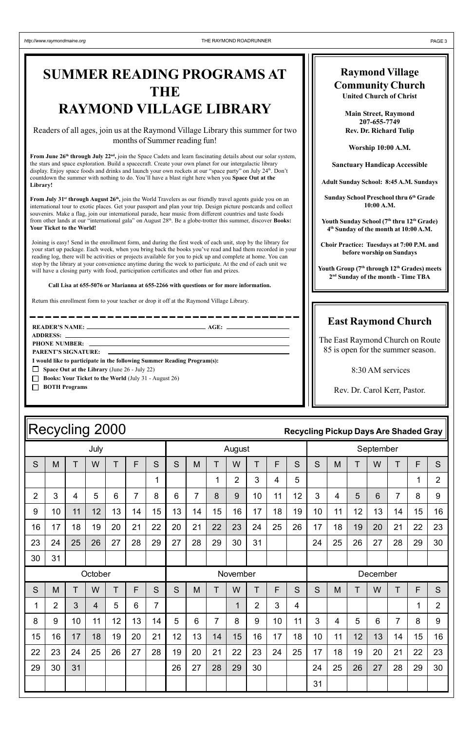|                | July           |    |    |                 |                |                |    | August         |                |                |                |             |                |                | September      |          |                 |                |    |                |
|----------------|----------------|----|----|-----------------|----------------|----------------|----|----------------|----------------|----------------|----------------|-------------|----------------|----------------|----------------|----------|-----------------|----------------|----|----------------|
| S              | M              | T  | W  | T               | F              | S              | S  | M              | T              | W              | T              | $\mathsf F$ | S              | S              | M              | T        | W               | T              | F  | S              |
|                |                |    |    |                 |                | 1              |    |                | $\mathbf 1$    | $\overline{2}$ | 3              | 4           | 5              |                |                |          |                 |                | 1  | $\overline{2}$ |
| $\overline{2}$ | $\mathbf{3}$   | 4  | 5  | 6               | $\overline{7}$ | 8              | 6  | $\overline{7}$ | 8              | 9              | 10             | 11          | 12             | $\mathbf{3}$   | $\overline{4}$ | 5        | 6               | $\overline{7}$ | 8  | 9              |
| 9              | 10             | 11 | 12 | 13              | 14             | 15             | 13 | 14             | 15             | 16             | 17             | 18          | 19             | 10             | 11             | 12       | 13              | 14             | 15 | 16             |
| 16             | 17             | 18 | 19 | 20              | 21             | 22             | 20 | 21             | 22             | 23             | 24             | 25          | 26             | 17             | 18             | 19       | 20              | 21             | 22 | 23             |
| 23             | 24             | 25 | 26 | 27              | 28             | 29             | 27 | 28             | 29             | 30             | 31             |             |                | 24             | 25             | 26       | 27              | 28             | 29 | 30             |
| 30             | 31             |    |    |                 |                |                |    |                |                |                |                |             |                |                |                |          |                 |                |    |                |
|                | October        |    |    |                 |                |                |    |                | November       |                |                |             |                |                |                | December |                 |                |    |                |
| S              | M              | T  | W  | T               | F              | S              | S  | M              | T              | W              | T              | F           | S              | S              | M              | T        | W               | T              | F  | S              |
| 1              | $\overline{2}$ | 3  | 4  | 5               | 6              | $\overline{7}$ |    |                |                | $\mathbf 1$    | $\overline{2}$ | 3           | $\overline{4}$ |                |                |          |                 |                | 1  | $\overline{2}$ |
| 8              | 9              | 10 | 11 | 12 <sub>2</sub> | 13             | 14             | 5  | 6              | $\overline{7}$ | 8              | 9              | 10          | 11             | $\overline{3}$ | $\overline{4}$ | 5        | $6\phantom{1}6$ | $\overline{7}$ | 8  | 9              |
| 15             | 16             | 17 | 18 | 19              | 20             | 21             | 12 | 13             | 14             | 15             | 16             | 17          | 18             | 10             | 11             | 12       | 13              | 14             | 15 | 16             |
| 22             | 23             | 24 | 25 | 26              | 27             | 28             | 19 | 20             | 21             | 22             | 23             | 24          | 25             | 17             | 18             | 19       | 20              | 21             | 22 | 23             |
| 29             | 30             | 31 |    |                 |                |                | 26 | 27             | 28             | 29             | 30             |             |                | 24             | 25             | 26       | 27              | 28             | 29 | 30             |
|                |                |    |    |                 |                |                |    |                |                |                |                |             |                | 31             |                |          |                 |                |    |                |

Youth Sunday School (7<sup>th</sup> thru 12<sup>th</sup> Grade) **4th Sunday of the month at 10:00 A.M.**

Youth Group (7<sup>th</sup> through 12<sup>th</sup> Grades) meets **2nd Sunday of the month - Time TBA**

### **Raymond Village Community Church**

**United Church of Christ**

**Main Street, Raymond 207-655-7749 Rev. Dr. Richard Tulip**

**Worship 10:00 A.M.**

**Sanctuary Handicap Accessible**

**Adult Sunday School: 8:45 A.M. Sundays**

**Sunday School Preschool thru 6th Grade 10:00 A.M.**

**Choir Practice: Tuesdays at 7:00 P.M. and before worship on Sundays**

### **East Raymond Church**

From July 31<sup>st</sup> through August 26<sup>th</sup>, join the World Travelers as our friendly travel agents guide you on an international tour to exotic places. Get your passport and plan your trip. Design picture postcards and collect souvenirs. Make a flag, join our international parade, hear music from different countries and taste foods from other lands at our "international gala" on August 28<sup>th</sup>. Be a globe-trotter this summer, discover **Books: Your Ticket to the World!**

> The East Raymond Church on Route 85 is open for the summer season.

> > 8:30 AM services

Rev. Dr. Carol Kerr, Pastor.

# Recycling 2000 **Recycling Pickup Days Are Shaded Gray**

# **SUMMER READING PROGRAMS AT THE RAYMOND VILLAGE LIBRARY**

### Readers of all ages, join us at the Raymond Village Library this summer for two months of Summer reading fun!

**PHONE NUMBER: PARENT'S SIGNATURE:** 

**From June 26th through July 22nd,** join the Space Cadets and learn fascinating details about our solar system, the stars and space exploration. Build a spacecraft. Create your own planet for our intergalactic library display. Enjoy space foods and drinks and launch your own rockets at our "space party" on July 24th. Don't countdown the summer with nothing to do. You'll have a blast right here when you Space Out at the **Library!**

Joining is easy! Send in the enrollment form, and during the first week of each unit, stop by the library for your start up package. Each week, when you bring back the books you've read and had them recorded in your reading log, there will be activities or projects available for you to pick up and complete at home. You can stop by the library at your convenience anytime during the week to participate. At the end of each unit we will have a closing party with food, participation certificates and other fun and prizes.

### **Call Lisa at 655-5076 or Marianna at 655-2266 with questions or for more information.**

\_\_\_\_\_\_\_\_\_\_\_\_\_\_\_

Return this enrollment form to your teacher or drop it off at the Raymond Village Library.

**READERíS NAME: AGE:**

**ADDRESS:**

**I would like to participate in the following Summer Reading Program(s):**

- **Space Out at the Library** (June 26 July 22)
- **Books: Your Ticket to the World (July 31 August 26)**
- **BOTH Programs**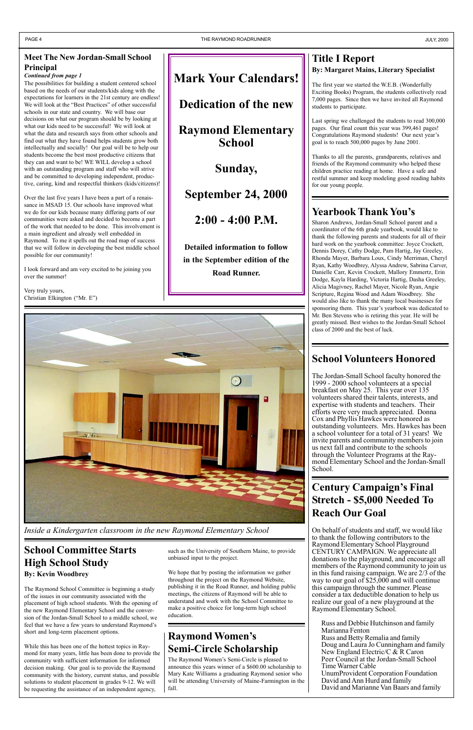The possibilities for building a student centered school based on the needs of our students/kids along with the expectations for learners in the 21st century are endless! We will look at the "Best Practices" of other successful schools in our state and country. We will base our decisions on what our program should be by looking at what our kids need to be successful! We will look at what the data and research says from other schools and find out what they have found helps students grow both intellectually and socially! Our goal will be to help our students become the best most productive citizens that they can and want to be! WE WILL develop a school with an outstanding program and staff who will strive and be committed to developing independent, productive, caring, kind and respectful thinkers (kids/citizens)!

Very truly yours, Christian Elkington ("Mr. E")

Over the last five years I have been a part of a renaissance in MSAD 15. Our schools have improved what we do for our kids because many differing parts of our communities were asked and decided to become a part of the work that needed to be done. This involvement is a main ingredient and already well embedded in Raymond. To me it spells out the road map of success that we will follow in developing the best middle school possible for our community!

I look forward and am very excited to be joining you over the summer!

*Continued from page 1*

### **Meet The New Jordan-Small School Principal**

# **Century Campaign's Final Stretch - \$5,000 Needed To Reach Our Goal**

Sharon Andrews, Jordan-Small School parent and a coordinator of the 6th grade yearbook, would like to thank the following parents and students for all of their hard work on the yearbook committee: Joyce Crockett, Dennis Dorey, Cathy Dodge, Pam Hartig, Jay Greeley, Rhonda Mayer, Barbara Loux, Cindy Merriman, Cheryl Ryan, Kathy Woodbrey, Alyssa Andrew, Sabrina Carver, Danielle Carr, Kevin Crockett, Mallory Emmertz, Erin Dodge, Kayla Harding, Victoria Hartig, Dasha Greeley, Alicia Magivney, Rachel Mayer, Nicole Ryan, Angie Scripture, Regina Wood and Adam Woodbrey. She would also like to thank the many local businesses for sponsoring them. This year's yearbook was dedicated to Mr. Ben Stevens who is retiring this year. He will be greatly missed. Best wishes to the Jordan-Small School class of 2000 and the best of luck.

### **Raymond Women's Semi-Circle Scholarship**

# **School Volunteers Honored**

The Raymond Women's Semi-Circle is pleased to announce this years winner of a \$600.00 scholarship to Mary Kate Williams a graduating Raymond senior who will be attending University of Maine-Farmington in the fall.

The Jordan-Small School faculty honored the 1999 - 2000 school volunteers at a special breakfast on May 25. This year over 135 volunteers shared their talents, interests, and expertise with students and teachers. Their efforts were very much appreciated. Donna Cox and Phyllis Hawkes were honored as outstanding volunteers. Mrs. Hawkes has been a school volunteer for a total of 31 years! We invite parents and community members to join us next fall and contribute to the schools through the Volunteer Programs at the Raymond Elementary School and the Jordan-Small School.

### **Title I Report By: Margaret Mains, Literary Specialist**

The first year we started the W.E.B. (Wonderfully Exciting Books) Program, the students collectively read 7,000 pages. Since then we have invited all Raymond students to participate.

Last spring we challenged the students to read 300,000 pages. Our final count this year was 399,461 pages! Congratulations Raymond students! Our next year's goal is to reach 500,000 pages by June 2001.

Thanks to all the parents, grandparents, relatives and friends of the Raymond community who helped these children practice reading at home. Have a safe and restful summer and keep modeling good reading habits for our young people.

# Yearbook Thank You's

On behalf of students and staff, we would like to thank the following contributors to the Raymond Elementary School Playground CENTURY CAMPAIGN. We appreciate all donations to the playground, and encourage all members of the Raymond community to join us in this fund raising campaign. We are 2/3 of the way to our goal of  $$25,000$  and will continue this campaign through the summer. Please consider a tax deductible donation to help us realize our goal of a new playground at the Raymond Elementary School.

Russ and Debbie Hutchinson and family Marianna Fenton Russ and Betty Remalia and family Doug and Laura Jo Cunningham and family New England Electric/C & R Caron Peer Council at the Jordan-Small School Time Warner Cable UnumProvident Corporation Foundation David and Ann Hurd and family David and Marianne Van Baars and family



*Inside a Kindergarten classroom in the new Raymond Elementary School*

### **School Committee Starts High School Study By: Kevin Woodbrey**

The Raymond School Committee is beginning a study of the issues in our community associated with the placement of high school students. With the opening of the new Raymond Elementary School and the conversion of the Jordan-Small School to a middle school, we feel that we have a few years to understand Raymond's short and long-term placement options.

While this has been one of the hottest topics in Raymond for many years, little has been done to provide the community with sufficient information for informed decision making. Our goal is to provide the Raymond community with the history, current status, and possible solutions to student placement in grades 9-12. We will be requesting the assistance of an independent agency,

such as the University of Southern Maine, to provide unbiased input to the project.

We hope that by posting the information we gather throughout the project on the Raymond Website, publishing it in the Road Runner, and holding public meetings, the citizens of Raymond will be able to understand and work with the School Committee to make a positive choice for long-term high school education.

# **Mark Your Calendars!**

**Dedication of the new**

**Raymond Elementary School**

**Sunday,**

**September 24, 2000**

**2:00 - 4:00 P.M.**

**Detailed information to follow in the September edition of the Road Runner.**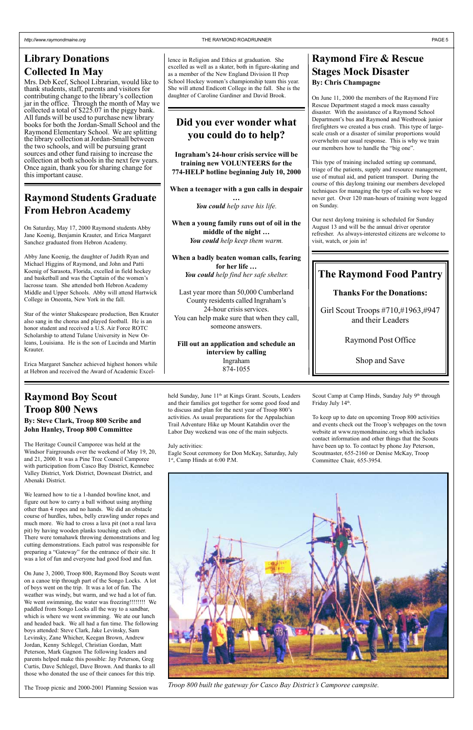On June 11, 2000 the members of the Raymond Fire Rescue Department staged a mock mass casualty disaster. With the assistance of a Raymond School Department's bus and Raymond and Westbrook junior firefighters we created a bus crash. This type of largescale crash or a disaster of similar proportions would overwhelm our usual response. This is why we train our members how to handle the "big one".

### **Raymond Fire & Rescue Stages Mock Disaster By: Chris Champagne**

This type of training included setting up command, triage of the patients, supply and resource management, use of mutual aid, and patient transport. During the course of this daylong training our members developed techniques for managing the type of calls we hope we never get. Over 120 man-hours of training were logged on Sunday.

Our next daylong training is scheduled for Sunday August 13 and will be the annual driver operator refresher. As always-interested citizens are welcome to visit, watch, or join in!

# **Raymond Boy Scout Troop 800 News**

### **By: Steve Clark, Troop 800 Scribe and John Hanley, Troop 800 Committee**

The Heritage Council Camporee was held at the Windsor Fairgrounds over the weekend of May 19, 20, and 21, 2000. It was a Pine Tree Council Camporee with participation from Casco Bay District, Kennebec Valley District, York District, Downeast District, and Abenaki District.

held Sunday, June 11<sup>th</sup> at Kings Grant. Scouts, Leaders and their families got together for some good food and to discuss and plan for the next year of Troop 800's activities. As usual preparations for the Appalachian Trail Adventure Hike up Mount Katahdin over the Labor Day weekend was one of the main subjects.

Eagle Scout ceremony for Don McKay, Saturday, July 1st, Camp Hinds at 6:00 P.M.

We learned how to tie a 1-handed bowline knot, and figure out how to carry a ball without using anything other than 4 ropes and no hands. We did an obstacle course of hurdles, tubes, belly crawling under ropes and much more. We had to cross a lava pit (not a real lava pit) by having wooden planks touching each other. There were tomahawk throwing demonstrations and log cutting demonstrations. Each patrol was responsible for preparing a "Gateway" for the entrance of their site. It was a lot of fun and everyone had good food and fun.

On June 3, 2000, Troop 800, Raymond Boy Scouts went on a canoe trip through part of the Songo Locks. A lot of boys went on the trip. It was a lot of fun. The weather was windy, but warm, and we had a lot of fun. We went swimming, the water was freezing!!!!!!!!! We paddled from Songo Locks all the way to a sandbar, which is where we went swimming. We ate our lunch and headed back. We all had a fun time. The following boys attended: Steve Clark, Jake Levinsky, Sam Levinsky, Zane Whicher, Keegan Brown, Andrew Jordan, Kenny Schlegel, Christian Gordan, Matt Peterson, Mark Gagnon The following leaders and parents helped make this possible: Jay Peterson, Greg Curtis, Dave Schlegel, Dave Brown. And thanks to all those who donated the use of their canoes for this trip.

The Troop picnic and 2000-2001 Planning Session was

*Troop 800 built the gateway for Casco Bay District's Camporee campsite.* 

July activities:

To keep up to date on upcoming Troop 800 activities and events check out the Troop's webpages on the town website at www.raymondmaine.org which includes contact information and other things that the Scouts have been up to. To contact by phone Jay Peterson, Scoutmaster, 655-2160 or Denise McKay, Troop Committee Chair, 655-3954.



# **Library Donations Collected In May**

Mrs. Deb Keef, School Librarian, would like to thank students, staff, parents and visitors for contributing change to the library's collection jar in the office. Through the month of May we collected a total of  $$225.07$  in the piggy bank. All funds will be used to purchase new library books for both the Jordan-Small School and the Raymond Elementary School. We are splitting the library collection at Jordan-Small between the two schools, and will be pursuing grant sources and other fund raising to increase the collection at both schools in the next few years. Once again, thank you for sharing change for this important cause.

### **Did you ever wonder what you could do to help?**

**Ingrahamís 24-hour crisis service will be training new VOLUNTEERS for the 774-HELP hotline beginning July 10, 2000**

**When a teenager with a gun calls in despair**

**Ö** *You could help save his life.*

**When a young family runs out of oil in the** middle of the night ... *You could help keep them warm.*

**When a badly beaten woman calls, fearing** for her life ... *You could help find her safe shelter.*

Last year more than 50,000 Cumberland County residents called Ingraham's 24-hour crisis services. You can help make sure that when they call, someone answers.

**Fill out an application and schedule an interview by calling** Ingraham 874-1055

### **The Raymond Food Pantry**

### **Thanks For the Donations:**

Girl Scout Troops #710,#1963,#947 and their Leaders

Raymond Post Office

Shop and Save

Scout Camp at Camp Hinds, Sunday July 9<sup>th</sup> through Friday July 14th.

### **Raymond Students Graduate From Hebron Academy**

On Saturday, May 17, 2000 Raymond students Abby Jane Koenig, Benjamin Krauter, and Erica Margaret Sanchez graduated from Hebron Academy.

Abby Jane Koenig, the daughter of Judith Ryan and Michael Higgins of Raymond, and John and Patti Koenig of Sarasota, Florida, excelled in field hockey and basketball and was the Captain of the women's lacrosse team. She attended both Hebron Academy Middle and Upper Schools. Abby will attend Hartwick College in Oneonta, New York in the fall.

Star of the winter Shakespeare production, Ben Krauter also sang in the chorus and played football. He is an honor student and received a U.S. Air Force ROTC Scholarship to attend Tulane University in New Orleans, Louisiana. He is the son of Lucinda and Martin Krauter.

Erica Margaret Sanchez achieved highest honors while at Hebron and received the Award of Academic Excel-

lence in Religion and Ethics at graduation. She excelled as well as a skater, both in figure-skating and as a member of the New England Division II Prep School Hockey women's championship team this year. She will attend Endicott College in the fall. She is the daughter of Caroline Gardiner and David Brook.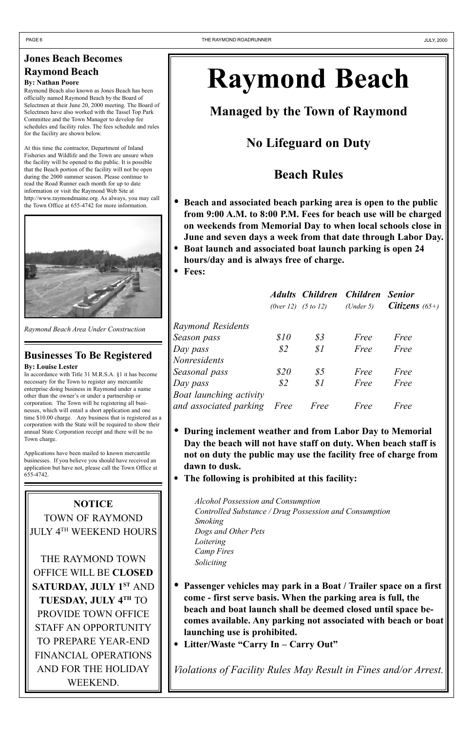# **Jones Beach Becomes Raymond Beach**

### **By: Nathan Poore**

Raymond Beach also known as Jones Beach has been officially named Raymond Beach by the Board of Selectmen at their June 20, 2000 meeting. The Board of Selectmen have also worked with the Tassel Top Park Committee and the Town Manager to develop fee schedules and facility rules. The fees schedule and rules for the facility are shown below.

At this time the contractor, Department of Inland Fisheries and Wildlife and the Town are unsure when the facility will be opened to the public. It is possible that the Beach portion of the facility will not be open during the 2000 summer season. Please continue to read the Road Runner each month for up to date information or visit the Raymond Web Site at http://www.raymondmaine.org. As always, you may call the Town Office at 655-4742 for more information.



# **Raymond Beach**

**Managed by the Town of Raymond**

**No Lifeguard on Duty**

# **Beach Rules**

- **Passenger vehicles may park in a Boat / Trailer space on a first come - first serve basis. When the parking area is full, the beach and boat launch shall be deemed closed until space becomes available. Any parking not associated with beach or boat launching use is prohibited.**
- Litter/Waste "Carry In Carry Out"
- **Beach and associated beach parking area is open to the public from 9:00 A.M. to 8:00 P.M. Fees for beach use will be charged on weekends from Memorial Day to when local schools close in June and seven days a week from that date through Labor Day.**
- **Boat launch and associated boat launch parking is open 24 hours/day and is always free of charge.**
- **Fees:**

|                         |                | (0ver 12) $(5 to 12)$ (Under 5) | Adults Children Children Senior | <i>Citizens</i> $(65+)$ |
|-------------------------|----------------|---------------------------------|---------------------------------|-------------------------|
| Raymond Residents       |                |                                 |                                 |                         |
| Season pass             | \$10           | $\mathcal{S}3$                  | Free                            | Free                    |
| Day pass                | $\mathcal{S}2$ | S1                              | Free                            | Free                    |
| Nonresidents            |                |                                 |                                 |                         |
| Seasonal pass           | \$20           | $\frac{85}{5}$                  | Free                            | Free                    |
| Day pass                | $\mathcal{S}2$ | S1                              | Free                            | Free                    |
| Boat launching activity |                |                                 |                                 |                         |
| and associated parking  | Free           | Free                            | Free                            | Free                    |

- **During inclement weather and from Labor Day to Memorial Day the beach will not have staff on duty. When beach staff is not on duty the public may use the facility free of charge from dawn to dusk.**
- **The following is prohibited at this facility:**

*Alcohol Possession and Consumption Controlled Substance / Drug Possession and Consumption Smoking Dogs and Other Pets*

*Loitering Camp Fires Soliciting*

*Violations of Facility Rules May Result in Fines and/or Arrest.*

*Raymond Beach Area Under Construction*

### **Businesses To Be Registered By: Louise Lester**

In accordance with Title 31 M.R.S.A. ß1 it has become necessary for the Town to register any mercantile enterprise doing business in Raymond under a name other than the owner's or under a partnership or corporation. The Town will be registering all businesses, which will entail a short application and one time \$10.00 charge. Any business that is registered as a corporation with the State will be required to show their annual State Corporation receipt and there will be no Town charge.

Applications have been mailed to known mercantile businesses. If you believe you should have received an application but have not, please call the Town Office at 655-4742.

# **NOTICE** TOWN OF RAYMOND JULY 4TH WEEKEND HOURS

THE RAYMOND TOWN OFFICE WILL BE **CLOSED SATURDAY, JULY 1ST AND TUESDAY, JULY 4TH** TO PROVIDE TOWN OFFICE STAFF AN OPPORTUNITY TO PREPARE YEAR-END FINANCIAL OPERATIONS AND FOR THE HOLIDAY WEEKEND.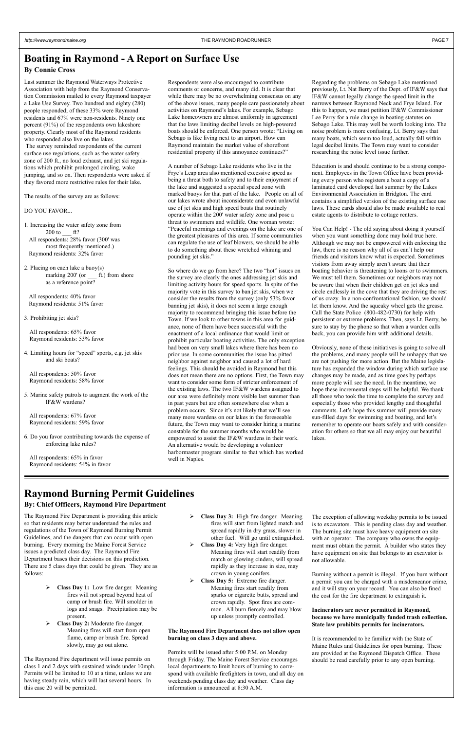# **Raymond Burning Permit Guidelines**

### **By: Chief Officers, Raymond Fire Department**

# **Boating in Raymond - A Report on Surface Use**

### **By Connie Cross**

The Raymond Fire Department is providing this article so that residents may better understand the rules and regulations of the Town of Raymond Burning Permit Guidelines, and the dangers that can occur with open burning. Every morning the Maine Forest Service issues a predicted class day. The Raymond Fire Department bases their decisions on this prediction. There are 5 class days that could be given. They are as follows:

- **Class Day 1:** Low fire danger. Meaning fires will not spread beyond heat of camp or brush fire. Will smolder in logs and snags. Precipitation may be present.
- **Class Day 2:** Moderate fire danger. Meaning fires will start from open flame, camp or brush fire. Spread slowly, may go out alone.

The Raymond Fire department will issue permits on class 1 and 2 days with sustained winds under 10mph. Permits will be limited to 10 at a time, unless we are having steady rain, which will last several hours. In this case 20 will be permitted.

 **Class Day 3:** High fire danger. Meaning fires will start from lighted match and spread rapidly in dry grass, slower in other fuel. Will go until extinguished. **Class Day 4:** Very high fire danger. Meaning fires will start readily from match or glowing cinders, will spread rapidly as they increase in size, may crown in young conifers. **Class Day 5:** Extreme fire danger. Meaning fires start readily from sparks or cigarette butts, spread and crown rapidly. Spot fires are common. All burn fiercely and may blow up unless promptly controlled.

### **The Raymond Fire Department does not allow open burning on class 3 days and above.**

Permits will be issued after 5:00 P.M. on Monday through Friday. The Maine Forest Service encourages local departments to limit hours of burning to correspond with available firefighters in town, and all day on weekends pending class day and weather. Class day information is announced at 8:30 A.M.

4. Limiting hours for "speed" sports, e.g. jet skis and ski boats?

> The exception of allowing weekday permits to be issued is to excavators. This is pending class day and weather. The burning site must have heavy equipment on site with an operator. The company who owns the equipment must obtain the permit. A builder who states they have equipment on site that belongs to an excavator is not allowable.

Respondents were also encouraged to contribute comments or concerns, and many did. It is clear that while there may be no overwhelming consensus on any of the above issues, many people care passionately about activities on Raymond's lakes. For example, Sebago Lake homeowners are almost uniformly in agreement that the laws limiting decibel levels on high-powered boats should be enforced. One person wrote: "Living on Sebago is like living next to an airport. How can Raymond maintain the market value of shorefront residential property if this annoyance continues?"

> Burning without a permit is illegal. If you burn without a permit you can be charged with a misdemeanor crime, and it will stay on your record. You can also be fined the cost for the fire department to extinguish it.

A number of Sebago Lake residents who live in the Frye's Leap area also mentioned excessive speed as being a threat both to safety and to their enjoyment of the lake and suggested a special speed zone with marked buoys for that part of the lake. People on all of our lakes wrote about inconsiderate and even unlawful use of jet skis and high speed boats that routinely operate within the 200' water safety zone and pose a threat to swimmers and wildlife. One woman wrote: ìPeaceful mornings and evenings on the lake are one of the greatest pleasures of this area. If some communities can regulate the use of leaf blowers, we should be able to do something about these wretched whining and pounding jet skis."

### **Incinerators are never permitted in Raymond, because we have municipally funded trash collection. State law prohibits permits for incinerators.**

It is recommended to be familiar with the State of Maine Rules and Guidelines for open burning. These are provided at the Raymond Dispatch Office. These should be read carefully prior to any open burning.

Last summer the Raymond Waterways Protective Association with help from the Raymond Conservation Commission mailed to every Raymond taxpayer a Lake Use Survey. Two hundred and eighty (280) people responded; of these 33% were Raymond residents and 67% were non-residents. Ninety one percent (91%) of the respondents own lakeshore property. Clearly most of the Raymond residents who responded also live on the lakes.

 The survey reminded respondents of the current surface use regulations, such as the water safety zone of 200 ft., no loud exhaust, and jet ski regulations which prohibit prolonged circling, wake jumping, and so on. Then respondents were asked if they favored more restrictive rules for their lake.

> So where do we go from here? The two "hot" issues on the survey are clearly the ones addressing jet skis and limiting activity hours for speed sports. In spite of the majority vote in this survey to ban jet skis, when we consider the results from the survey (only 53% favor banning jet skis), it does not seem a large enough majority to recommend bringing this issue before the Town. If we look to other towns in this area for guidance, none of them have been successful with the enactment of a local ordinance that would limit or prohibit particular boating activities. The only exception had been on very small lakes where there has been no prior use. In some communities the issue has pitted neighbor against neighbor and caused a lot of hard feelings. This should be avoided in Raymond but this does not mean there are no options. First, the Town may want to consider some form of stricter enforcement of the existing laws. The two IF&W wardens assigned to our area were definitely more visible last summer than in past years but are often somewhere else when a problem occurs. Since it's not likely that we'll see many more wardens on our lakes in the foreseeable future, the Town may want to consider hiring a marine constable for the summer months who would be empowered to assist the IF&W wardens in their work. An alternative would be developing a volunteer harbormaster program similar to that which has worked well in Naples.

The results of the survey are as follows:

### DO YOU FAVOR...

- 1. Increasing the water safety zone from  $200 \text{ to }$  \_\_\_ ft? All respondents: 28% favor (300' was most frequently mentioned.) Raymond residents: 32% favor
- 2. Placing on each lake a buoy(s) marking 200' (or  $\text{f.t.}$ ) from shore as a reference point?

All respondents: 40% favor Raymond residents: 51% favor

3. Prohibiting jet skis?

All respondents: 65% favor Raymond residents: 53% favor

All respondents: 50% favor Raymond residents: 58% favor

5. Marine safety patrols to augment the work of the IF&W wardens?

All respondents: 67% favor Raymond residents: 59% favor

6. Do you favor contributing towards the expense of enforcing lake rules?

All respondents: 65% in favor Raymond residents: 54% in favor You Can Help! - The old saying about doing it yourself when you want something done may hold true here. Although we may not be empowered with enforcing the law, there is no reason why all of us can't help our friends and visitors know what is expected. Sometimes visitors from away simply aren't aware that their boating behavior is threatening to loons or to swimmers. We must tell them. Sometimes our neighbors may not be aware that when their children get on jet skis and circle endlessly in the cove that they are driving the rest of us crazy. In a non-confrontational fashion, we should let them know. And the squeaky wheel gets the grease. Call the State Police (800-482-0730) for help with persistent or extreme problems. Then, says Lt. Berry, be sure to stay by the phone so that when a warden calls back, you can provide him with additional details.

Regarding the problems on Sebago Lake mentioned previously, Lt. Nat Berry of the Dept. of IF&W says that IF&W cannot legally change the speed limit in the narrows between Raymond Neck and Frye Island. For this to happen, we must petition IF&W Commissioner Lee Perry for a rule change in boating statutes on Sebago Lake. This may well be worth looking into. The noise problem is more confusing. Lt. Berry says that many boats, which seem too loud, actually fall within legal decibel limits. The Town may want to consider researching the noise level issue further.

Education is and should continue to be a strong component. Employees in the Town Office have been providing every person who registers a boat a copy of a laminated card developed last summer by the Lakes Environmental Association in Bridgton. The card contains a simplified version of the existing surface use laws. These cards should also be made available to real estate agents to distribute to cottage renters.

Obviously, none of these initiatives is going to solve all the problems, and many people will be unhappy that we are not pushing for more action. But the Maine legislature has expanded the window during which surface use changes may be made, and as time goes by perhaps more people will see the need. In the meantime, we hope these incremental steps will be helpful. We thank all those who took the time to complete the survey and especially those who provided lengthy and thoughtful comments. Let's hope this summer will provide many sun-filled days for swimming and boating, and let's remember to operate our boats safely and with consideration for others so that we all may enjoy our beautiful lakes.